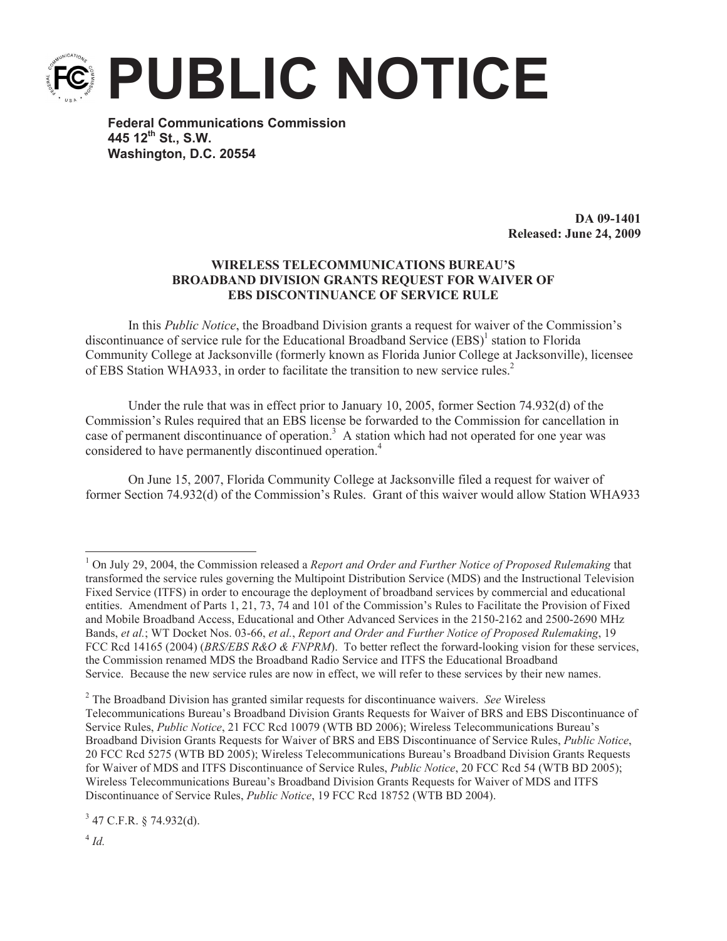

**Federal Communications Commission 445 12th St., S.W. Washington, D.C. 20554**

> **DA 09-1401 Released: June 24, 2009**

## **WIRELESS TELECOMMUNICATIONS BUREAU'S BROADBAND DIVISION GRANTS REQUEST FOR WAIVER OF EBS DISCONTINUANCE OF SERVICE RULE**

In this *Public Notice*, the Broadband Division grants a request for waiver of the Commission's discontinuance of service rule for the Educational Broadband Service (EBS)<sup>1</sup> station to Florida Community College at Jacksonville (formerly known as Florida Junior College at Jacksonville), licensee of EBS Station WHA933, in order to facilitate the transition to new service rules.<sup>2</sup>

Under the rule that was in effect prior to January 10, 2005, former Section 74.932(d) of the Commission's Rules required that an EBS license be forwarded to the Commission for cancellation in case of permanent discontinuance of operation.<sup>3</sup> A station which had not operated for one year was considered to have permanently discontinued operation.<sup>4</sup>

On June 15, 2007, Florida Community College at Jacksonville filed a request for waiver of former Section 74.932(d) of the Commission's Rules. Grant of this waiver would allow Station WHA933

 $3$  47 C.F.R. § 74.932(d).

<sup>1</sup> On July 29, 2004, the Commission released a *Report and Order and Further Notice of Proposed Rulemaking* that transformed the service rules governing the Multipoint Distribution Service (MDS) and the Instructional Television Fixed Service (ITFS) in order to encourage the deployment of broadband services by commercial and educational entities. Amendment of Parts 1, 21, 73, 74 and 101 of the Commission's Rules to Facilitate the Provision of Fixed and Mobile Broadband Access, Educational and Other Advanced Services in the 2150-2162 and 2500-2690 MHz Bands, *et al.*; WT Docket Nos. 03-66, *et al.*, *Report and Order and Further Notice of Proposed Rulemaking*, 19 FCC Rcd 14165 (2004) (*BRS/EBS R&O & FNPRM*). To better reflect the forward-looking vision for these services, the Commission renamed MDS the Broadband Radio Service and ITFS the Educational Broadband Service. Because the new service rules are now in effect, we will refer to these services by their new names.

<sup>2</sup> The Broadband Division has granted similar requests for discontinuance waivers. *See* Wireless Telecommunications Bureau's Broadband Division Grants Requests for Waiver of BRS and EBS Discontinuance of Service Rules, *Public Notice*, 21 FCC Rcd 10079 (WTB BD 2006); Wireless Telecommunications Bureau's Broadband Division Grants Requests for Waiver of BRS and EBS Discontinuance of Service Rules, *Public Notice*, 20 FCC Rcd 5275 (WTB BD 2005); Wireless Telecommunications Bureau's Broadband Division Grants Requests for Waiver of MDS and ITFS Discontinuance of Service Rules, *Public Notice*, 20 FCC Rcd 54 (WTB BD 2005); Wireless Telecommunications Bureau's Broadband Division Grants Requests for Waiver of MDS and ITFS Discontinuance of Service Rules, *Public Notice*, 19 FCC Rcd 18752 (WTB BD 2004).